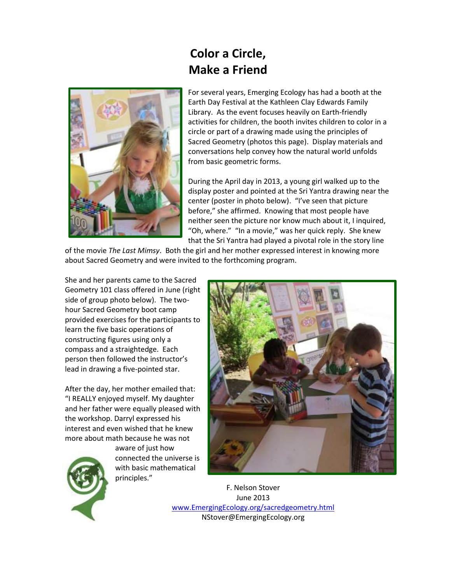

## **Color a Circle, Make a Friend**

For several years, Emerging Ecology has had a booth at the Earth Day Festival at the Kathleen Clay Edwards Family Library. As the event focuses heavily on Earth-friendly activities for children, the booth invites children to color in a circle or part of a drawing made using the principles of Sacred Geometry (photos this page). Display materials and conversations help convey how the natural world unfolds from basic geometric forms.

During the April day in 2013, a young girl walked up to the display poster and pointed at the Sri Yantra drawing near the center (poster in photo below). "I've seen that picture before," she affirmed. Knowing that most people have neither seen the picture nor know much about it, I inquired, "Oh, where." "In a movie," was her quick reply. She knew that the Sri Yantra had played a pivotal role in the story line

of the movie *The Last Mimsy*. Both the girl and her mother expressed interest in knowing more about Sacred Geometry and were invited to the forthcoming program.

She and her parents came to the Sacred Geometry 101 class offered in June (right side of group photo below). The twohour Sacred Geometry boot camp provided exercises for the participants to learn the five basic operations of constructing figures using only a compass and a straightedge. Each person then followed the instructor's lead in drawing a five-pointed star.

After the day, her mother emailed that: "I REALLY enjoyed myself. My daughter and her father were equally pleased with the workshop. Darryl expressed his interest and even wished that he knew more about math because he was not



aware of just how connected the universe is with basic mathematical principles."



F. Nelson Stover June 2013 [www.EmergingEcology.org/sacredgeometry.html](http://www.greenschemesnc.com/) NStover@EmergingEcology.org